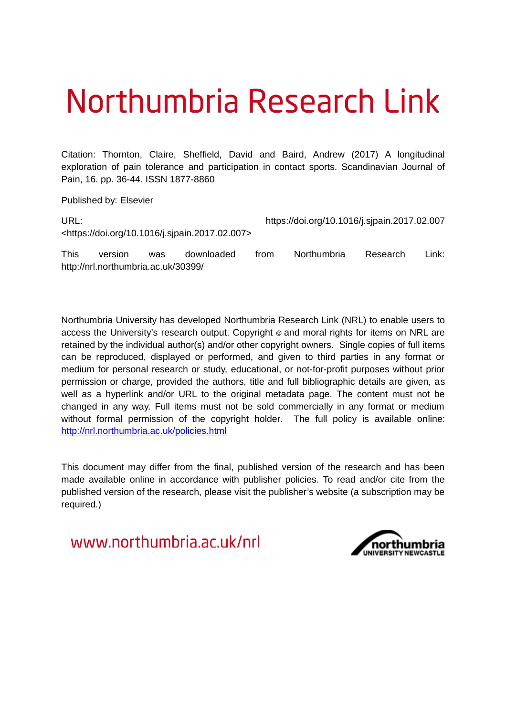# Northumbria Research Link

Citation: Thornton, Claire, Sheffield, David and Baird, Andrew (2017) A longitudinal exploration of pain tolerance and participation in contact sports. Scandinavian Journal of Pain, 16. pp. 36-44. ISSN 1877-8860

Published by: Elsevier

http://nrl.northumbria.ac.uk/30399/

| URL: |         |     |                                                                 |      | https://doi.org/10.1016/j.sjpain.2017.02.007 |          |        |  |
|------|---------|-----|-----------------------------------------------------------------|------|----------------------------------------------|----------|--------|--|
|      |         |     | <https: 10.1016="" doi.org="" j.sipain.2017.02.007=""></https:> |      |                                              |          |        |  |
| This | version | was | downloaded                                                      | trom | Northumbria                                  | Research | Link:⊤ |  |

Northumbria University has developed Northumbria Research Link (NRL) to enable users to access the University's research output. Copyright  $\circ$  and moral rights for items on NRL are retained by the individual author(s) and/or other copyright owners. Single copies of full items can be reproduced, displayed or performed, and given to third parties in any format or medium for personal research or study, educational, or not-for-profit purposes without prior permission or charge, provided the authors, title and full bibliographic details are given, as well as a hyperlink and/or URL to the original metadata page. The content must not be changed in any way. Full items must not be sold commercially in any format or medium without formal permission of the copyright holder. The full policy is available online: <http://nrl.northumbria.ac.uk/policies.html>

This document may differ from the final, published version of the research and has been made available online in accordance with publisher policies. To read and/or cite from the published version of the research, please visit the publisher's website (a subscription may be required.)

www.northumbria.ac.uk/nrl

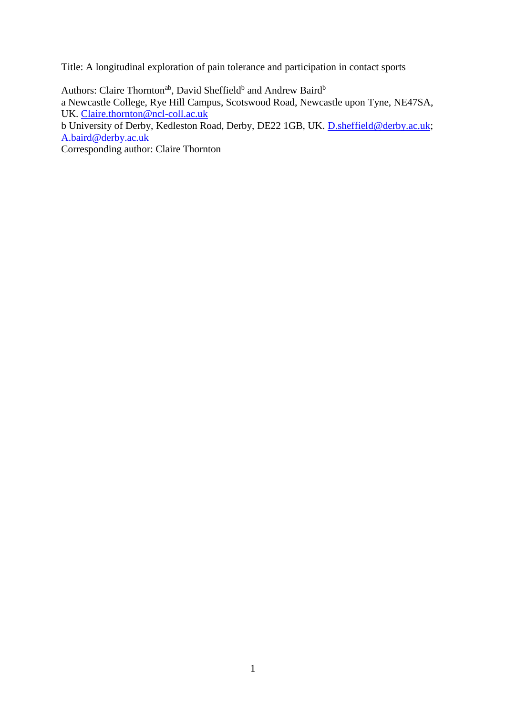Title: A longitudinal exploration of pain tolerance and participation in contact sports

Authors: Claire Thornton<sup>ab</sup>, David Sheffield<sup>b</sup> and Andrew Baird<sup>b</sup> a Newcastle College, Rye Hill Campus, Scotswood Road, Newcastle upon Tyne, NE47SA, UK. [Claire.thornton@ncl-coll.ac.uk](mailto:Claire.thornton@ncl-coll.ac.uk)

b University of Derby, Kedleston Road, Derby, DE22 1GB, UK. [D.sheffield@derby.ac.uk;](mailto:D.sheffield@derby.ac.uk) [A.baird@derby.ac.uk](mailto:A.baird@derby.ac.uk)

Corresponding author: Claire Thornton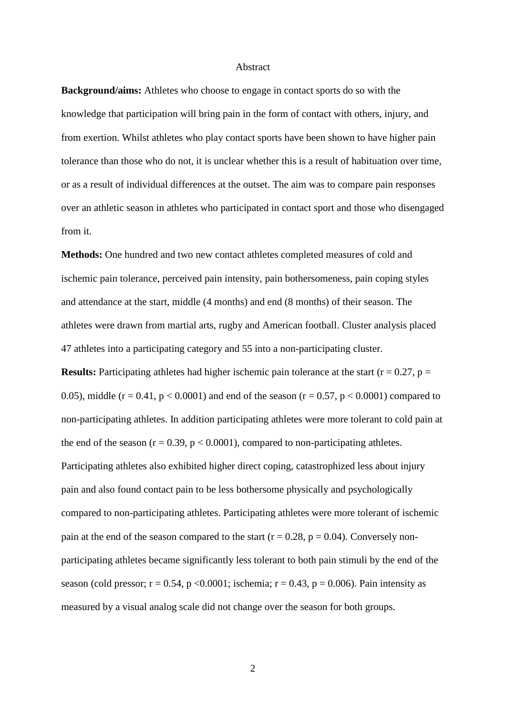#### Abstract

**Background/aims:** Athletes who choose to engage in contact sports do so with the knowledge that participation will bring pain in the form of contact with others, injury, and from exertion. Whilst athletes who play contact sports have been shown to have higher pain tolerance than those who do not, it is unclear whether this is a result of habituation over time, or as a result of individual differences at the outset. The aim was to compare pain responses over an athletic season in athletes who participated in contact sport and those who disengaged from it.

**Methods:** One hundred and two new contact athletes completed measures of cold and ischemic pain tolerance, perceived pain intensity, pain bothersomeness, pain coping styles and attendance at the start, middle (4 months) and end (8 months) of their season. The athletes were drawn from martial arts, rugby and American football. Cluster analysis placed 47 athletes into a participating category and 55 into a non-participating cluster.

**Results:** Participating athletes had higher ischemic pain tolerance at the start ( $r = 0.27$ ,  $p =$ 0.05), middle ( $r = 0.41$ ,  $p < 0.0001$ ) and end of the season ( $r = 0.57$ ,  $p < 0.0001$ ) compared to non-participating athletes. In addition participating athletes were more tolerant to cold pain at the end of the season  $(r = 0.39, p < 0.0001)$ , compared to non-participating athletes. Participating athletes also exhibited higher direct coping, catastrophized less about injury pain and also found contact pain to be less bothersome physically and psychologically compared to non-participating athletes. Participating athletes were more tolerant of ischemic pain at the end of the season compared to the start ( $r = 0.28$ ,  $p = 0.04$ ). Conversely nonparticipating athletes became significantly less tolerant to both pain stimuli by the end of the season (cold pressor;  $r = 0.54$ , p <0.0001; ischemia;  $r = 0.43$ , p = 0.006). Pain intensity as measured by a visual analog scale did not change over the season for both groups.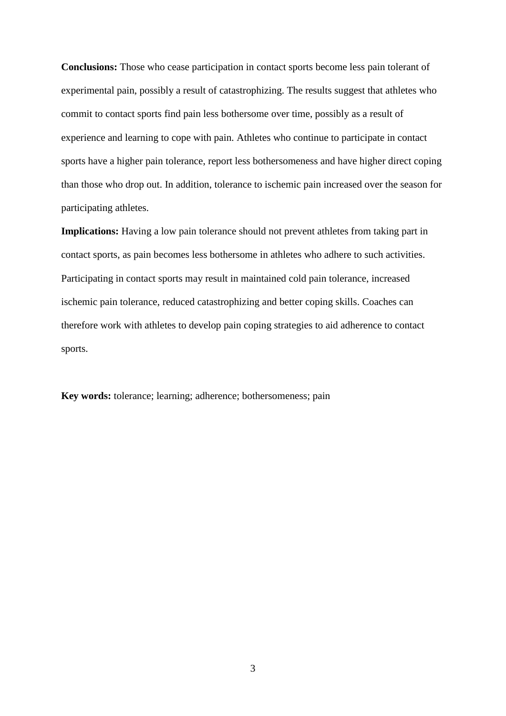**Conclusions:** Those who cease participation in contact sports become less pain tolerant of experimental pain, possibly a result of catastrophizing. The results suggest that athletes who commit to contact sports find pain less bothersome over time, possibly as a result of experience and learning to cope with pain. Athletes who continue to participate in contact sports have a higher pain tolerance, report less bothersomeness and have higher direct coping than those who drop out. In addition, tolerance to ischemic pain increased over the season for participating athletes.

**Implications:** Having a low pain tolerance should not prevent athletes from taking part in contact sports, as pain becomes less bothersome in athletes who adhere to such activities. Participating in contact sports may result in maintained cold pain tolerance, increased ischemic pain tolerance, reduced catastrophizing and better coping skills. Coaches can therefore work with athletes to develop pain coping strategies to aid adherence to contact sports.

**Key words:** tolerance; learning; adherence; bothersomeness; pain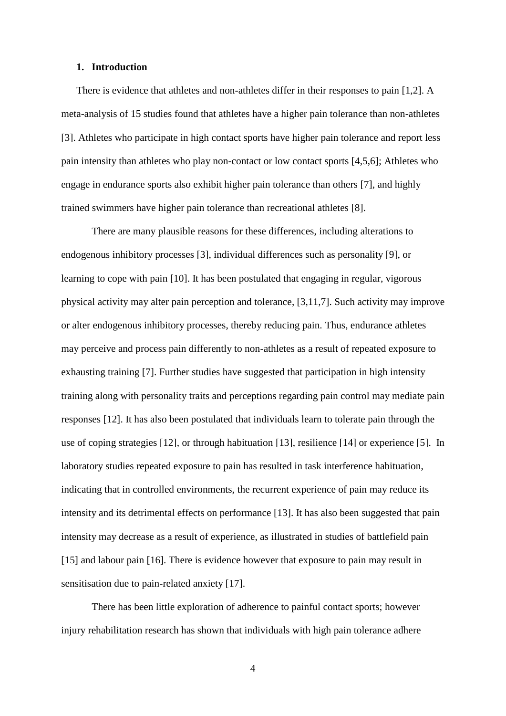#### **1. Introduction**

There is evidence that athletes and non-athletes differ in their responses to pain [1,2]. A meta-analysis of 15 studies found that athletes have a higher pain tolerance than non-athletes [3]. Athletes who participate in high contact sports have higher pain tolerance and report less pain intensity than athletes who play non-contact or low contact sports [4,5,6]; Athletes who engage in endurance sports also exhibit higher pain tolerance than others [7], and highly trained swimmers have higher pain tolerance than recreational athletes [8].

There are many plausible reasons for these differences, including alterations to endogenous inhibitory processes [3], individual differences such as personality [9], or learning to cope with pain [10]. It has been postulated that engaging in regular, vigorous physical activity may alter pain perception and tolerance, [3,11,7]. Such activity may improve or alter endogenous inhibitory processes, thereby reducing pain. Thus, endurance athletes may perceive and process pain differently to non-athletes as a result of repeated exposure to exhausting training [7]. Further studies have suggested that participation in high intensity training along with personality traits and perceptions regarding pain control may mediate pain responses [12]. It has also been postulated that individuals learn to tolerate pain through the use of coping strategies [12], or through habituation [13], resilience [14] or experience [5]. In laboratory studies repeated exposure to pain has resulted in task interference habituation, indicating that in controlled environments, the recurrent experience of pain may reduce its intensity and its detrimental effects on performance [13]. It has also been suggested that pain intensity may decrease as a result of experience, as illustrated in studies of battlefield pain [15] and labour pain [16]. There is evidence however that exposure to pain may result in sensitisation due to pain-related anxiety [17].

There has been little exploration of adherence to painful contact sports; however injury rehabilitation research has shown that individuals with high pain tolerance adhere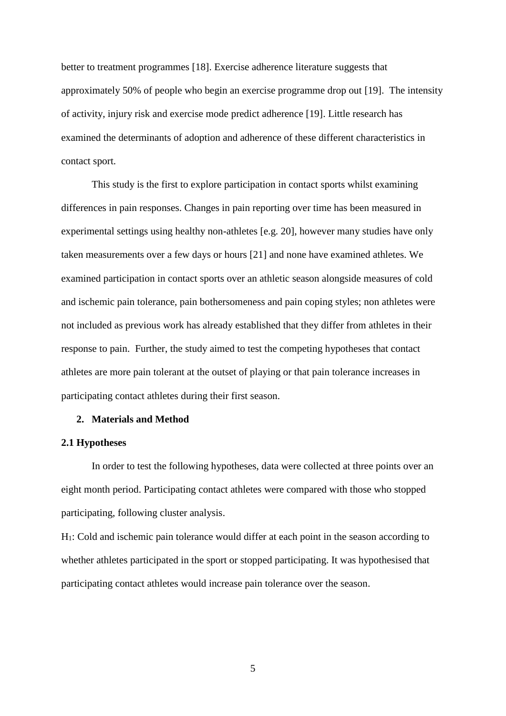better to treatment programmes [18]. Exercise adherence literature suggests that approximately 50% of people who begin an exercise programme drop out [19]. The intensity of activity, injury risk and exercise mode predict adherence [19]. Little research has examined the determinants of adoption and adherence of these different characteristics in contact sport.

This study is the first to explore participation in contact sports whilst examining differences in pain responses. Changes in pain reporting over time has been measured in experimental settings using healthy non-athletes [e.g. 20], however many studies have only taken measurements over a few days or hours [21] and none have examined athletes. We examined participation in contact sports over an athletic season alongside measures of cold and ischemic pain tolerance, pain bothersomeness and pain coping styles; non athletes were not included as previous work has already established that they differ from athletes in their response to pain. Further, the study aimed to test the competing hypotheses that contact athletes are more pain tolerant at the outset of playing or that pain tolerance increases in participating contact athletes during their first season.

## **2. Materials and Method**

## **2.1 Hypotheses**

In order to test the following hypotheses, data were collected at three points over an eight month period. Participating contact athletes were compared with those who stopped participating, following cluster analysis.

H1: Cold and ischemic pain tolerance would differ at each point in the season according to whether athletes participated in the sport or stopped participating. It was hypothesised that participating contact athletes would increase pain tolerance over the season.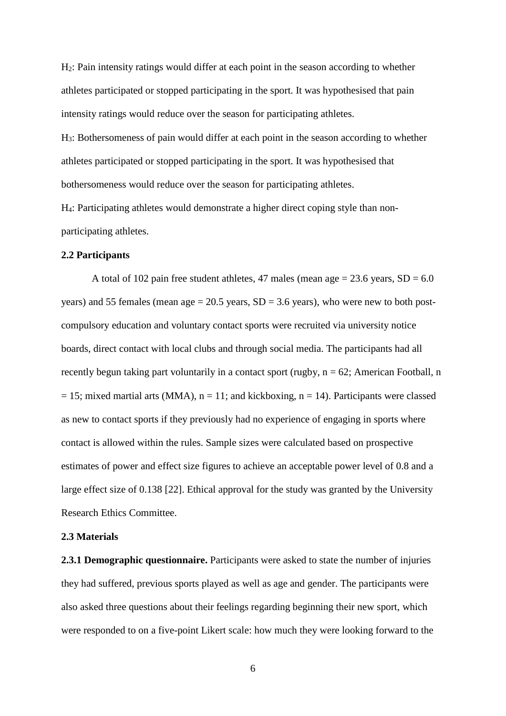H2: Pain intensity ratings would differ at each point in the season according to whether athletes participated or stopped participating in the sport. It was hypothesised that pain intensity ratings would reduce over the season for participating athletes.

H3: Bothersomeness of pain would differ at each point in the season according to whether athletes participated or stopped participating in the sport. It was hypothesised that bothersomeness would reduce over the season for participating athletes.

H4: Participating athletes would demonstrate a higher direct coping style than nonparticipating athletes.

#### **2.2 Participants**

A total of 102 pain free student athletes, 47 males (mean age  $= 23.6$  years,  $SD = 6.0$ years) and 55 females (mean age  $= 20.5$  years,  $SD = 3.6$  years), who were new to both postcompulsory education and voluntary contact sports were recruited via university notice boards, direct contact with local clubs and through social media. The participants had all recently begun taking part voluntarily in a contact sport (rugby,  $n = 62$ ; American Football, n  $= 15$ ; mixed martial arts (MMA),  $n = 11$ ; and kickboxing,  $n = 14$ ). Participants were classed as new to contact sports if they previously had no experience of engaging in sports where contact is allowed within the rules. Sample sizes were calculated based on prospective estimates of power and effect size figures to achieve an acceptable power level of 0.8 and a large effect size of 0.138 [22]. Ethical approval for the study was granted by the University Research Ethics Committee.

#### **2.3 Materials**

**2.3.1 Demographic questionnaire.** Participants were asked to state the number of injuries they had suffered, previous sports played as well as age and gender. The participants were also asked three questions about their feelings regarding beginning their new sport, which were responded to on a five-point Likert scale: how much they were looking forward to the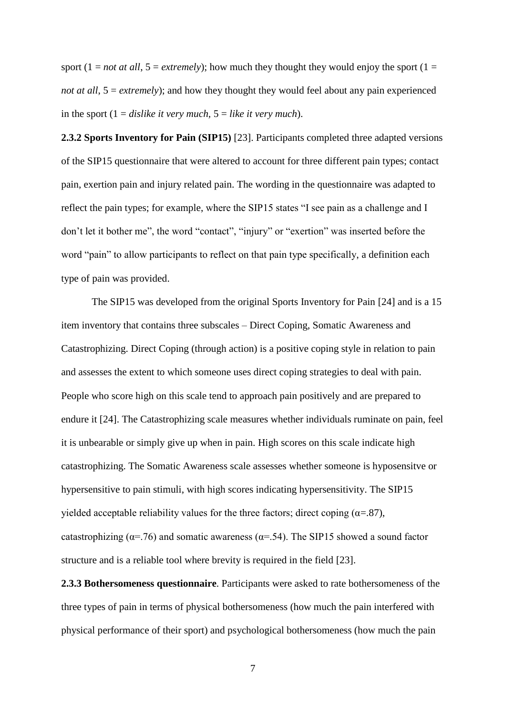sport (1 = *not at all*, 5 = *extremely*); how much they thought they would enjoy the sport (1 = *not at all*,  $5 =$  *extremely*); and how they thought they would feel about any pain experienced in the sport (1 = *dislike it very much,* 5 = *like it very much*).

**2.3.2 Sports Inventory for Pain (SIP15)** [23]. Participants completed three adapted versions of the SIP15 questionnaire that were altered to account for three different pain types; contact pain, exertion pain and injury related pain. The wording in the questionnaire was adapted to reflect the pain types; for example, where the SIP15 states "I see pain as a challenge and I don't let it bother me", the word "contact", "injury" or "exertion" was inserted before the word "pain" to allow participants to reflect on that pain type specifically, a definition each type of pain was provided.

The SIP15 was developed from the original Sports Inventory for Pain [24] and is a 15 item inventory that contains three subscales – Direct Coping, Somatic Awareness and Catastrophizing. Direct Coping (through action) is a positive coping style in relation to pain and assesses the extent to which someone uses direct coping strategies to deal with pain. People who score high on this scale tend to approach pain positively and are prepared to endure it [24]. The Catastrophizing scale measures whether individuals ruminate on pain, feel it is unbearable or simply give up when in pain. High scores on this scale indicate high catastrophizing. The Somatic Awareness scale assesses whether someone is hyposensitve or hypersensitive to pain stimuli, with high scores indicating hypersensitivity. The SIP15 yielded acceptable reliability values for the three factors; direct coping ( $\alpha$ =.87), catastrophizing ( $\alpha$ =.76) and somatic awareness ( $\alpha$ =.54). The SIP15 showed a sound factor structure and is a reliable tool where brevity is required in the field [23].

**2.3.3 Bothersomeness questionnaire**. Participants were asked to rate bothersomeness of the three types of pain in terms of physical bothersomeness (how much the pain interfered with physical performance of their sport) and psychological bothersomeness (how much the pain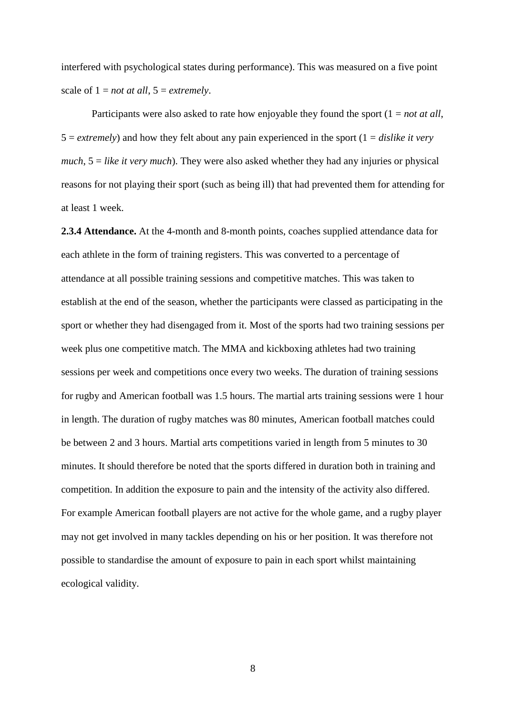interfered with psychological states during performance). This was measured on a five point scale of  $1 = not$  *at all*,  $5 = extremely$ .

Participants were also asked to rate how enjoyable they found the sport (1 = *not at all*,  $5 =$  *extremely*) and how they felt about any pain experienced in the sport  $(1 = \text{display})$  *extremely much*, 5 = *like it very much*). They were also asked whether they had any injuries or physical reasons for not playing their sport (such as being ill) that had prevented them for attending for at least 1 week.

**2.3.4 Attendance.** At the 4-month and 8-month points, coaches supplied attendance data for each athlete in the form of training registers. This was converted to a percentage of attendance at all possible training sessions and competitive matches. This was taken to establish at the end of the season, whether the participants were classed as participating in the sport or whether they had disengaged from it. Most of the sports had two training sessions per week plus one competitive match. The MMA and kickboxing athletes had two training sessions per week and competitions once every two weeks. The duration of training sessions for rugby and American football was 1.5 hours. The martial arts training sessions were 1 hour in length. The duration of rugby matches was 80 minutes, American football matches could be between 2 and 3 hours. Martial arts competitions varied in length from 5 minutes to 30 minutes. It should therefore be noted that the sports differed in duration both in training and competition. In addition the exposure to pain and the intensity of the activity also differed. For example American football players are not active for the whole game, and a rugby player may not get involved in many tackles depending on his or her position. It was therefore not possible to standardise the amount of exposure to pain in each sport whilst maintaining ecological validity.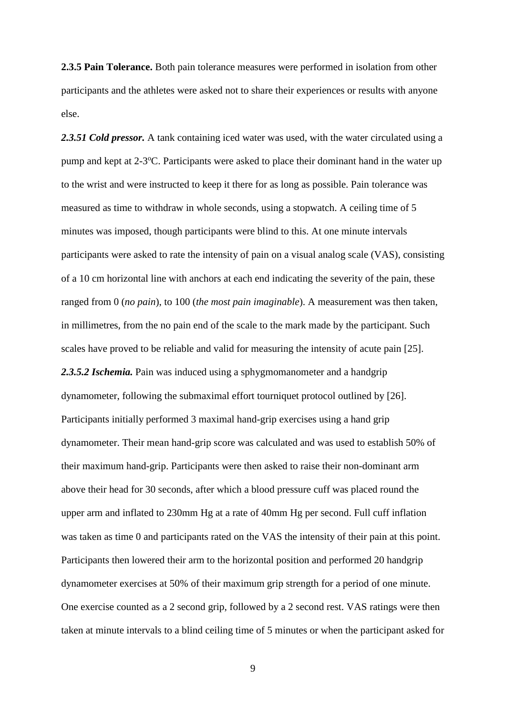**2.3.5 Pain Tolerance.** Both pain tolerance measures were performed in isolation from other participants and the athletes were asked not to share their experiences or results with anyone else.

2.3.51 Cold pressor. A tank containing iced water was used, with the water circulated using a pump and kept at 2-3°C. Participants were asked to place their dominant hand in the water up to the wrist and were instructed to keep it there for as long as possible. Pain tolerance was measured as time to withdraw in whole seconds, using a stopwatch. A ceiling time of 5 minutes was imposed, though participants were blind to this. At one minute intervals participants were asked to rate the intensity of pain on a visual analog scale (VAS), consisting of a 10 cm horizontal line with anchors at each end indicating the severity of the pain, these ranged from 0 (*no pain*), to 100 (*the most pain imaginable*). A measurement was then taken, in millimetres, from the no pain end of the scale to the mark made by the participant. Such scales have proved to be reliable and valid for measuring the intensity of acute pain [25]. *2.3.5.2 Ischemia.* Pain was induced using a sphygmomanometer and a handgrip dynamometer, following the submaximal effort tourniquet protocol outlined by [26]. Participants initially performed 3 maximal hand-grip exercises using a hand grip dynamometer. Their mean hand-grip score was calculated and was used to establish 50% of their maximum hand-grip. Participants were then asked to raise their non-dominant arm above their head for 30 seconds, after which a blood pressure cuff was placed round the upper arm and inflated to 230mm Hg at a rate of 40mm Hg per second. Full cuff inflation was taken as time 0 and participants rated on the VAS the intensity of their pain at this point. Participants then lowered their arm to the horizontal position and performed 20 handgrip dynamometer exercises at 50% of their maximum grip strength for a period of one minute. One exercise counted as a 2 second grip, followed by a 2 second rest. VAS ratings were then taken at minute intervals to a blind ceiling time of 5 minutes or when the participant asked for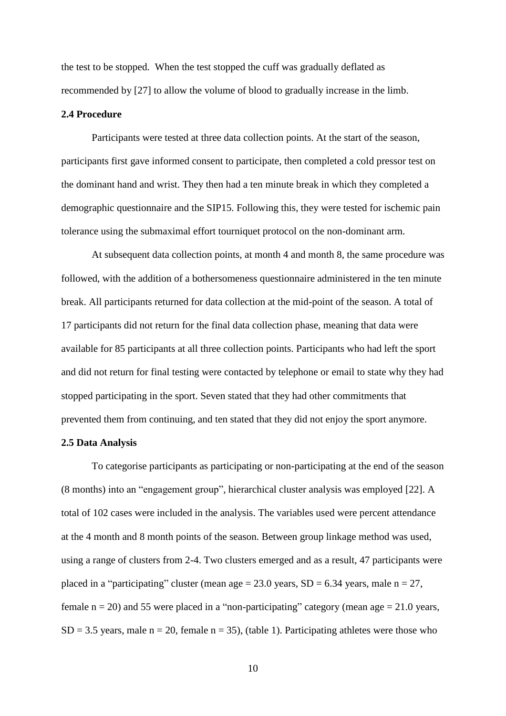the test to be stopped. When the test stopped the cuff was gradually deflated as recommended by [27] to allow the volume of blood to gradually increase in the limb.

#### **2.4 Procedure**

Participants were tested at three data collection points. At the start of the season, participants first gave informed consent to participate, then completed a cold pressor test on the dominant hand and wrist. They then had a ten minute break in which they completed a demographic questionnaire and the SIP15. Following this, they were tested for ischemic pain tolerance using the submaximal effort tourniquet protocol on the non-dominant arm.

At subsequent data collection points, at month 4 and month 8, the same procedure was followed, with the addition of a bothersomeness questionnaire administered in the ten minute break. All participants returned for data collection at the mid-point of the season. A total of 17 participants did not return for the final data collection phase, meaning that data were available for 85 participants at all three collection points. Participants who had left the sport and did not return for final testing were contacted by telephone or email to state why they had stopped participating in the sport. Seven stated that they had other commitments that prevented them from continuing, and ten stated that they did not enjoy the sport anymore.

## **2.5 Data Analysis**

To categorise participants as participating or non-participating at the end of the season (8 months) into an "engagement group", hierarchical cluster analysis was employed [22]. A total of 102 cases were included in the analysis. The variables used were percent attendance at the 4 month and 8 month points of the season. Between group linkage method was used, using a range of clusters from 2-4. Two clusters emerged and as a result, 47 participants were placed in a "participating" cluster (mean age =  $23.0$  years, SD =  $6.34$  years, male n =  $27$ , female  $n = 20$ ) and 55 were placed in a "non-participating" category (mean age  $= 21.0$  years,  $SD = 3.5$  years, male  $n = 20$ , female  $n = 35$ ), (table 1). Participating athletes were those who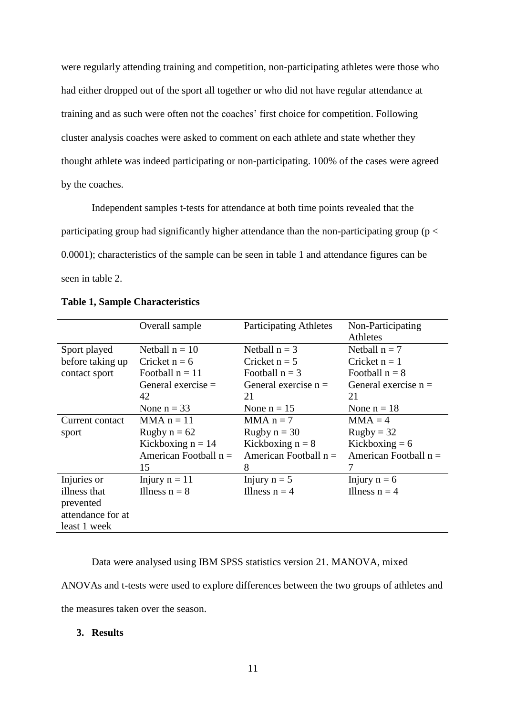were regularly attending training and competition, non-participating athletes were those who had either dropped out of the sport all together or who did not have regular attendance at training and as such were often not the coaches' first choice for competition. Following cluster analysis coaches were asked to comment on each athlete and state whether they thought athlete was indeed participating or non-participating. 100% of the cases were agreed by the coaches.

Independent samples t-tests for attendance at both time points revealed that the participating group had significantly higher attendance than the non-participating group ( $p <$ 0.0001); characteristics of the sample can be seen in table 1 and attendance figures can be seen in table 2.

|                   | Overall sample          | <b>Participating Athletes</b> | Non-Participating       |
|-------------------|-------------------------|-------------------------------|-------------------------|
|                   |                         |                               | Athletes                |
| Sport played      | Netball $n = 10$        | Netball $n = 3$               | Netball $n = 7$         |
| before taking up  | Cricket $n = 6$         | Cricket $n = 5$               | Cricket $n = 1$         |
| contact sport     | Football $n = 11$       | Football $n = 3$              | Football $n = 8$        |
|                   | General exercise $=$    | General exercise $n =$        | General exercise $n =$  |
|                   | 42                      | 21                            | 21                      |
|                   | None $n = 33$           | None $n = 15$                 | None $n = 18$           |
| Current contact   | $MMA n = 11$            | $MMA n = 7$                   | $MMA = 4$               |
| sport             | Rugby $n = 62$          | Rugby $n = 30$                | $Rugby = 32$            |
|                   | Kickboxing $n = 14$     | Kickboxing $n = 8$            | Kickboxing $= 6$        |
|                   | American Football $n =$ | American Football $n =$       | American Football $n =$ |
|                   | 15                      | 8                             | 7                       |
| Injuries or       | Injury $n = 11$         | Injury $n = 5$                | Injury $n = 6$          |
| illness that      | Illness $n = 8$         | Illness $n = 4$               | Illness $n = 4$         |
| prevented         |                         |                               |                         |
| attendance for at |                         |                               |                         |
| least 1 week      |                         |                               |                         |

## **Table 1, Sample Characteristics**

Data were analysed using IBM SPSS statistics version 21. MANOVA, mixed

ANOVAs and t-tests were used to explore differences between the two groups of athletes and

the measures taken over the season.

#### **3. Results**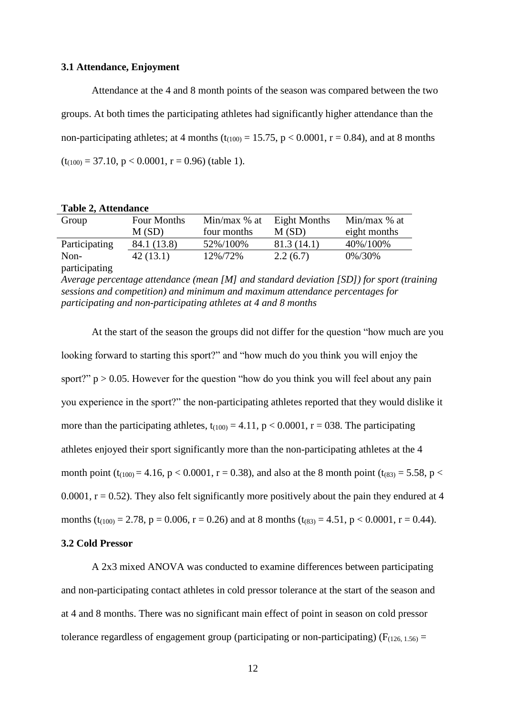#### **3.1 Attendance, Enjoyment**

Attendance at the 4 and 8 month points of the season was compared between the two groups. At both times the participating athletes had significantly higher attendance than the non-participating athletes; at 4 months ( $t_{(100)} = 15.75$ ,  $p < 0.0001$ ,  $r = 0.84$ ), and at 8 months  $(t_{(100)} = 37.10, p < 0.0001, r = 0.96)$  (table 1).

|  |  | <b>Table 2, Attendance</b> |
|--|--|----------------------------|
|--|--|----------------------------|

| Group         | Four Months<br>M(SD) | Min/max $%$ at<br>four months | Eight Months<br>M(SD) | Min/max $%$ at<br>eight months |
|---------------|----------------------|-------------------------------|-----------------------|--------------------------------|
| Participating | 84.1 (13.8)          | 52%/100%                      | 81.3(14.1)            | 40%/100%                       |
| Non-          | 42(13.1)             | 12%/72%                       | 2.2(6.7)              | 0%/30%                         |
| participating |                      |                               |                       |                                |

*Average percentage attendance (mean [M] and standard deviation [SD]) for sport (training sessions and competition) and minimum and maximum attendance percentages for participating and non-participating athletes at 4 and 8 months*

At the start of the season the groups did not differ for the question "how much are you looking forward to starting this sport?" and "how much do you think you will enjoy the sport?"  $p > 0.05$ . However for the question "how do you think you will feel about any pain you experience in the sport?" the non-participating athletes reported that they would dislike it more than the participating athletes,  $t_{(100)} = 4.11$ ,  $p < 0.0001$ ,  $r = 038$ . The participating athletes enjoyed their sport significantly more than the non-participating athletes at the 4 month point (t<sub>(100)</sub> = 4.16, p < 0.0001, r = 0.38), and also at the 8 month point (t<sub>(83)</sub> = 5.58, p < 0.0001,  $r = 0.52$ ). They also felt significantly more positively about the pain they endured at 4 months (t<sub>(100)</sub> = 2.78, p = 0.006, r = 0.26) and at 8 months (t<sub>(83)</sub> = 4.51, p < 0.0001, r = 0.44).

## **3.2 Cold Pressor**

A 2x3 mixed ANOVA was conducted to examine differences between participating and non-participating contact athletes in cold pressor tolerance at the start of the season and at 4 and 8 months. There was no significant main effect of point in season on cold pressor tolerance regardless of engagement group (participating or non-participating) ( $F_{(126, 1.56)} =$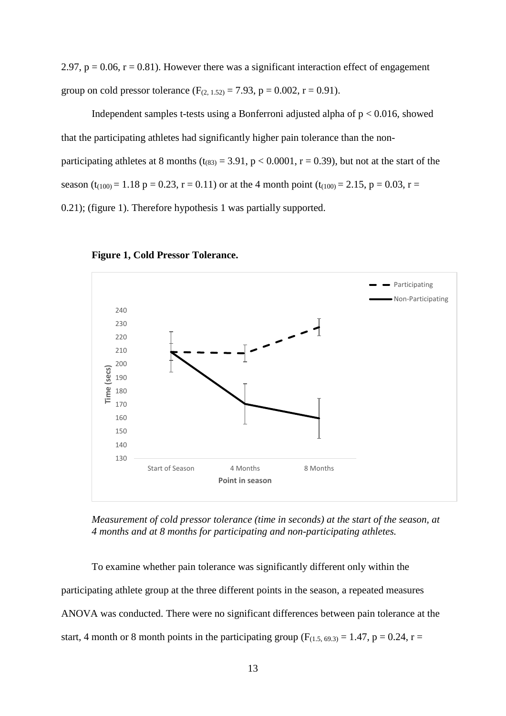2.97,  $p = 0.06$ ,  $r = 0.81$ ). However there was a significant interaction effect of engagement group on cold pressor tolerance  $(F_{(2, 1.52)} = 7.93, p = 0.002, r = 0.91)$ .

Independent samples t-tests using a Bonferroni adjusted alpha of  $p < 0.016$ , showed that the participating athletes had significantly higher pain tolerance than the nonparticipating athletes at 8 months ( $t_{(83)} = 3.91$ ,  $p < 0.0001$ ,  $r = 0.39$ ), but not at the start of the season (t<sub>(100)</sub> = 1.18 p = 0.23, r = 0.11) or at the 4 month point (t<sub>(100)</sub> = 2.15, p = 0.03, r = 0.21); (figure 1). Therefore hypothesis 1 was partially supported.





*Measurement of cold pressor tolerance (time in seconds) at the start of the season, at 4 months and at 8 months for participating and non-participating athletes.*

To examine whether pain tolerance was significantly different only within the participating athlete group at the three different points in the season, a repeated measures ANOVA was conducted. There were no significant differences between pain tolerance at the start, 4 month or 8 month points in the participating group ( $F_{(1.5, 69.3)} = 1.47$ , p = 0.24, r =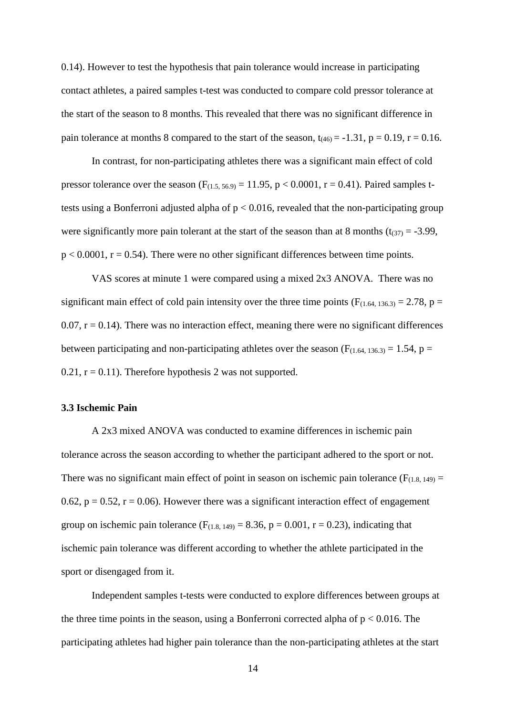0.14). However to test the hypothesis that pain tolerance would increase in participating contact athletes, a paired samples t-test was conducted to compare cold pressor tolerance at the start of the season to 8 months. This revealed that there was no significant difference in pain tolerance at months 8 compared to the start of the season,  $t_{(46)} = -1.31$ ,  $p = 0.19$ ,  $r = 0.16$ .

In contrast, for non-participating athletes there was a significant main effect of cold pressor tolerance over the season  $(F_{(1.5, 56.9)} = 11.95, p < 0.0001, r = 0.41)$ . Paired samples ttests using a Bonferroni adjusted alpha of p < 0.016, revealed that the non-participating group were significantly more pain tolerant at the start of the season than at 8 months ( $t_{(37)} = -3.99$ ,  $p < 0.0001$ ,  $r = 0.54$ ). There were no other significant differences between time points.

VAS scores at minute 1 were compared using a mixed 2x3 ANOVA. There was no significant main effect of cold pain intensity over the three time points ( $F_{(1.64, 136.3)} = 2.78$ , p = 0.07,  $r = 0.14$ ). There was no interaction effect, meaning there were no significant differences between participating and non-participating athletes over the season ( $F_{(1.64, 136.3)} = 1.54$ ,  $p =$  $0.21$ ,  $r = 0.11$ ). Therefore hypothesis 2 was not supported.

## **3.3 Ischemic Pain**

A 2x3 mixed ANOVA was conducted to examine differences in ischemic pain tolerance across the season according to whether the participant adhered to the sport or not. There was no significant main effect of point in season on ischemic pain tolerance ( $F_{(1,8, 149)} =$ 0.62,  $p = 0.52$ ,  $r = 0.06$ ). However there was a significant interaction effect of engagement group on ischemic pain tolerance  $(F<sub>(1.8, 149)</sub> = 8.36, p = 0.001, r = 0.23)$ , indicating that ischemic pain tolerance was different according to whether the athlete participated in the sport or disengaged from it.

Independent samples t-tests were conducted to explore differences between groups at the three time points in the season, using a Bonferroni corrected alpha of  $p < 0.016$ . The participating athletes had higher pain tolerance than the non-participating athletes at the start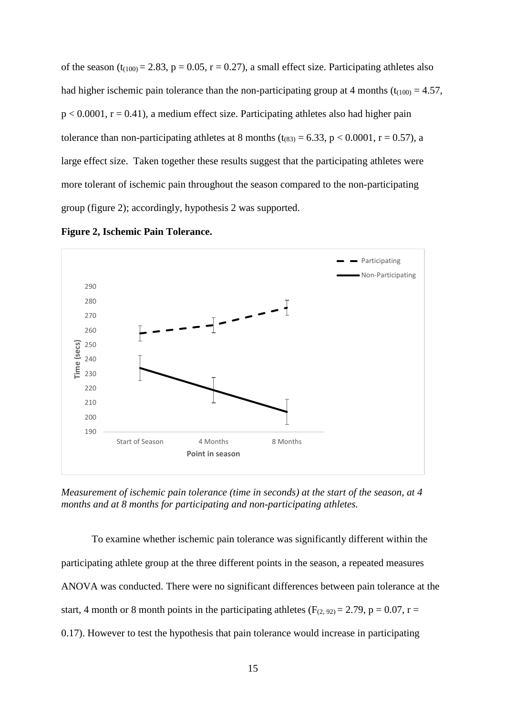of the season ( $t_{(100)} = 2.83$ ,  $p = 0.05$ ,  $r = 0.27$ ), a small effect size. Participating athletes also had higher ischemic pain tolerance than the non-participating group at 4 months ( $t_{(100)} = 4.57$ ,  $p < 0.0001$ ,  $r = 0.41$ ), a medium effect size. Participating athletes also had higher pain tolerance than non-participating athletes at 8 months ( $t_{(83)} = 6.33$ ,  $p < 0.0001$ ,  $r = 0.57$ ), a large effect size. Taken together these results suggest that the participating athletes were more tolerant of ischemic pain throughout the season compared to the non-participating group (figure 2); accordingly, hypothesis 2 was supported.



**Figure 2, Ischemic Pain Tolerance.** 

*Measurement of ischemic pain tolerance (time in seconds) at the start of the season, at 4 months and at 8 months for participating and non-participating athletes.*

To examine whether ischemic pain tolerance was significantly different within the participating athlete group at the three different points in the season, a repeated measures ANOVA was conducted. There were no significant differences between pain tolerance at the start, 4 month or 8 month points in the participating athletes ( $F_{(2, 92)} = 2.79$ , p = 0.07, r = 0.17). However to test the hypothesis that pain tolerance would increase in participating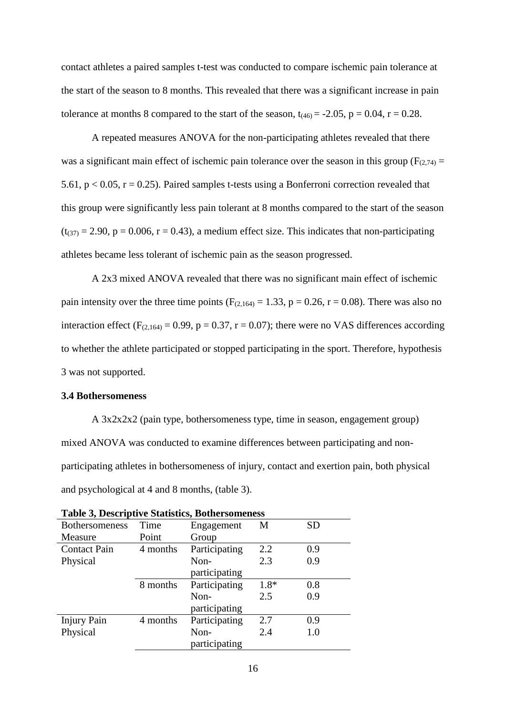contact athletes a paired samples t-test was conducted to compare ischemic pain tolerance at the start of the season to 8 months. This revealed that there was a significant increase in pain tolerance at months 8 compared to the start of the season,  $t_{(46)} = -2.05$ ,  $p = 0.04$ ,  $r = 0.28$ .

A repeated measures ANOVA for the non-participating athletes revealed that there was a significant main effect of ischemic pain tolerance over the season in this group ( $F_{(2,74)}$  = 5.61,  $p < 0.05$ ,  $r = 0.25$ ). Paired samples t-tests using a Bonferroni correction revealed that this group were significantly less pain tolerant at 8 months compared to the start of the season  $(t_{(37)} = 2.90, p = 0.006, r = 0.43)$ , a medium effect size. This indicates that non-participating athletes became less tolerant of ischemic pain as the season progressed.

A 2x3 mixed ANOVA revealed that there was no significant main effect of ischemic pain intensity over the three time points ( $F_{(2,164)} = 1.33$ ,  $p = 0.26$ ,  $r = 0.08$ ). There was also no interaction effect ( $F_{(2,164)} = 0.99$ ,  $p = 0.37$ ,  $r = 0.07$ ); there were no VAS differences according to whether the athlete participated or stopped participating in the sport. Therefore, hypothesis 3 was not supported.

## **3.4 Bothersomeness**

A 3x2x2x2 (pain type, bothersomeness type, time in season, engagement group) mixed ANOVA was conducted to examine differences between participating and nonparticipating athletes in bothersomeness of injury, contact and exertion pain, both physical and psychological at 4 and 8 months, (table 3).

| Table 5, Descriptive Statistics, Bothersomeness |          |               |      |           |  |
|-------------------------------------------------|----------|---------------|------|-----------|--|
| <b>Bothersomeness</b>                           | Time     | Engagement    | M    | <b>SD</b> |  |
| Measure                                         | Point    | Group         |      |           |  |
| <b>Contact Pain</b>                             | 4 months | Participating | 2.2  | 0.9       |  |
| Physical                                        |          | Non-          | 2.3  | 0.9       |  |
|                                                 |          | participating |      |           |  |
|                                                 | 8 months | Participating | 1.8* | 0.8       |  |
|                                                 |          | Non-          | 2.5  | 0.9       |  |
|                                                 |          | participating |      |           |  |
| <b>Injury Pain</b>                              | 4 months | Participating | 2.7  | 0.9       |  |
| Physical                                        |          | Non-          | 2.4  | 1.0       |  |
|                                                 |          | participating |      |           |  |
|                                                 |          |               |      |           |  |

|  |  |  | <b>Table 3, Descriptive Statistics, Bothersomeness</b> |
|--|--|--|--------------------------------------------------------|
|--|--|--|--------------------------------------------------------|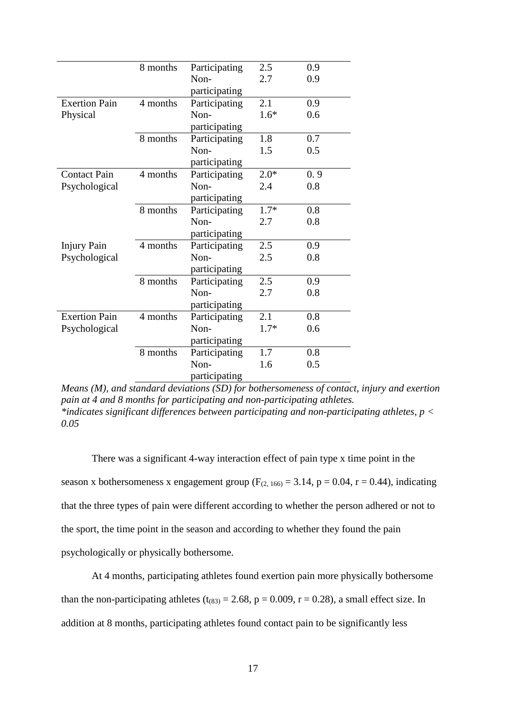|                      | 8 months | Participating | 2.5    | 0.9 |  |
|----------------------|----------|---------------|--------|-----|--|
|                      |          | Non-          | 2.7    | 0.9 |  |
|                      |          | participating |        |     |  |
| <b>Exertion Pain</b> | 4 months | Participating | 2.1    | 0.9 |  |
| Physical             |          | Non-          | $1.6*$ | 0.6 |  |
|                      |          | participating |        |     |  |
|                      | 8 months | Participating | 1.8    | 0.7 |  |
|                      |          | Non-          | 1.5    | 0.5 |  |
|                      |          | participating |        |     |  |
| <b>Contact Pain</b>  | 4 months | Participating | $2.0*$ | 0.9 |  |
| Psychological        |          | Non-          | 2.4    | 0.8 |  |
|                      |          | participating |        |     |  |
|                      | 8 months | Participating | $1.7*$ | 0.8 |  |
|                      |          | Non-          | 2.7    | 0.8 |  |
|                      |          | participating |        |     |  |
| <b>Injury Pain</b>   | 4 months | Participating | 2.5    | 0.9 |  |
| Psychological        |          | Non-          | 2.5    | 0.8 |  |
|                      |          | participating |        |     |  |
|                      | 8 months | Participating | 2.5    | 0.9 |  |
|                      |          | Non-          | 2.7    | 0.8 |  |
|                      |          | participating |        |     |  |
| <b>Exertion Pain</b> | 4 months | Participating | 2.1    | 0.8 |  |
| Psychological        |          | Non-          | $1.7*$ | 0.6 |  |
|                      |          | participating |        |     |  |
|                      | 8 months | Participating | 1.7    | 0.8 |  |
|                      |          | Non-          | 1.6    | 0.5 |  |
|                      |          | participating |        |     |  |

*Means (M), and standard deviations (SD) for bothersomeness of contact, injury and exertion pain at 4 and 8 months for participating and non-participating athletes. \*indicates significant differences between participating and non-participating athletes, p < 0.05*

There was a significant 4-way interaction effect of pain type x time point in the season x bothersomeness x engagement group ( $F_{(2, 166)} = 3.14$ ,  $p = 0.04$ ,  $r = 0.44$ ), indicating that the three types of pain were different according to whether the person adhered or not to the sport, the time point in the season and according to whether they found the pain psychologically or physically bothersome.

At 4 months, participating athletes found exertion pain more physically bothersome than the non-participating athletes ( $t_{(83)} = 2.68$ ,  $p = 0.009$ ,  $r = 0.28$ ), a small effect size. In addition at 8 months, participating athletes found contact pain to be significantly less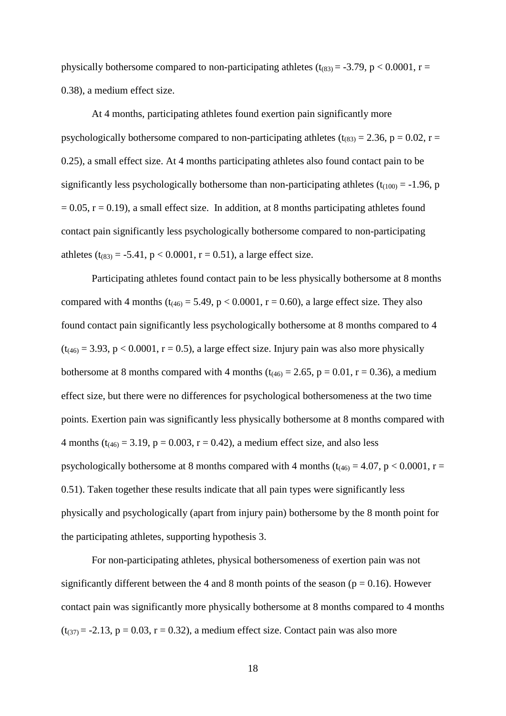physically bothersome compared to non-participating athletes ( $t_{(83)} = -3.79$ , p < 0.0001, r = 0.38), a medium effect size.

At 4 months, participating athletes found exertion pain significantly more psychologically bothersome compared to non-participating athletes ( $t_{(83)} = 2.36$ ,  $p = 0.02$ ,  $r =$ 0.25), a small effect size. At 4 months participating athletes also found contact pain to be significantly less psychologically bothersome than non-participating athletes ( $t_{(100)} = -1.96$ , p  $= 0.05$ ,  $r = 0.19$ ), a small effect size. In addition, at 8 months participating athletes found contact pain significantly less psychologically bothersome compared to non-participating athletes (t<sub>(83)</sub> = -5.41, p < 0.0001, r = 0.51), a large effect size.

Participating athletes found contact pain to be less physically bothersome at 8 months compared with 4 months ( $t_{(46)} = 5.49$ ,  $p < 0.0001$ ,  $r = 0.60$ ), a large effect size. They also found contact pain significantly less psychologically bothersome at 8 months compared to 4  $(t_{(46)} = 3.93, p < 0.0001, r = 0.5)$ , a large effect size. Injury pain was also more physically bothersome at 8 months compared with 4 months ( $t_{(46)} = 2.65$ ,  $p = 0.01$ ,  $r = 0.36$ ), a medium effect size, but there were no differences for psychological bothersomeness at the two time points. Exertion pain was significantly less physically bothersome at 8 months compared with 4 months ( $t_{(46)} = 3.19$ ,  $p = 0.003$ ,  $r = 0.42$ ), a medium effect size, and also less psychologically bothersome at 8 months compared with 4 months ( $t_{(46)} = 4.07$ ,  $p < 0.0001$ ,  $r =$ 0.51). Taken together these results indicate that all pain types were significantly less physically and psychologically (apart from injury pain) bothersome by the 8 month point for the participating athletes, supporting hypothesis 3.

For non-participating athletes, physical bothersomeness of exertion pain was not significantly different between the 4 and 8 month points of the season ( $p = 0.16$ ). However contact pain was significantly more physically bothersome at 8 months compared to 4 months  $(t_{(37)} = -2.13, p = 0.03, r = 0.32)$ , a medium effect size. Contact pain was also more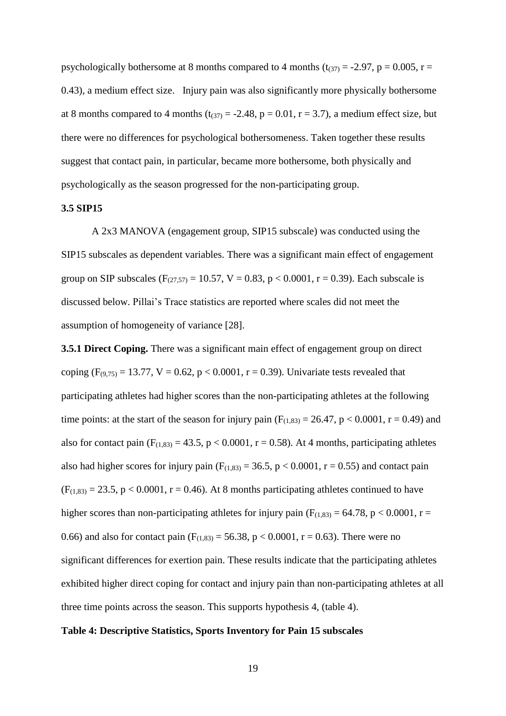psychologically bothersome at 8 months compared to 4 months ( $t_{(37)} = -2.97$ ,  $p = 0.005$ ,  $r =$ 0.43), a medium effect size. Injury pain was also significantly more physically bothersome at 8 months compared to 4 months ( $t_{(37)} = -2.48$ ,  $p = 0.01$ ,  $r = 3.7$ ), a medium effect size, but there were no differences for psychological bothersomeness. Taken together these results suggest that contact pain, in particular, became more bothersome, both physically and psychologically as the season progressed for the non-participating group.

#### **3.5 SIP15**

A 2x3 MANOVA (engagement group, SIP15 subscale) was conducted using the SIP15 subscales as dependent variables. There was a significant main effect of engagement group on SIP subscales ( $F_{(27,57)} = 10.57$ ,  $V = 0.83$ ,  $p < 0.0001$ ,  $r = 0.39$ ). Each subscale is discussed below. Pillai's Trace statistics are reported where scales did not meet the assumption of homogeneity of variance [28].

**3.5.1 Direct Coping.** There was a significant main effect of engagement group on direct coping  $(F_{(9,75)} = 13.77, V = 0.62, p < 0.0001, r = 0.39)$ . Univariate tests revealed that participating athletes had higher scores than the non-participating athletes at the following time points: at the start of the season for injury pain  $(F<sub>(1,83)</sub> = 26.47, p < 0.0001, r = 0.49)$  and also for contact pain  $(F_{(1,83)} = 43.5, p < 0.0001, r = 0.58)$ . At 4 months, participating athletes also had higher scores for injury pain  $(F(1,83) = 36.5, p < 0.0001, r = 0.55)$  and contact pain  $(F<sub>(1,83)</sub> = 23.5, p < 0.0001, r = 0.46)$ . At 8 months participating athletes continued to have higher scores than non-participating athletes for injury pain ( $F_{(1,83)} = 64.78$ , p < 0.0001, r = 0.66) and also for contact pain  $(F(1,83) = 56.38, p < 0.0001, r = 0.63)$ . There were no significant differences for exertion pain. These results indicate that the participating athletes exhibited higher direct coping for contact and injury pain than non-participating athletes at all three time points across the season. This supports hypothesis 4, (table 4).

#### **Table 4: Descriptive Statistics, Sports Inventory for Pain 15 subscales**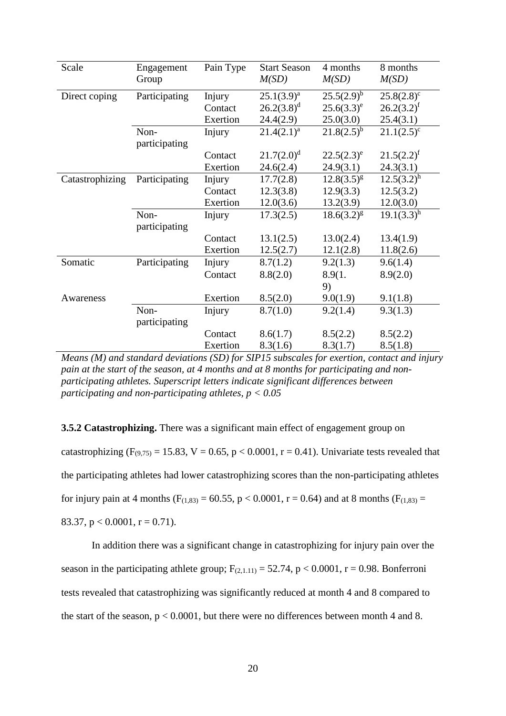| Scale           | Engagement    | Pain Type | <b>Start Season</b> | 4 months        | 8 months      |
|-----------------|---------------|-----------|---------------------|-----------------|---------------|
|                 | Group         |           | M(SD)               | M(SD)           | M(SD)         |
| Direct coping   | Participating | Injury    | $25.1(3.9)^a$       | $25.5(2.9)^b$   | $25.8(2.8)^c$ |
|                 |               | Contact   | $26.2(3.8)^d$       | $25.6(3.3)^e$   | $26.2(3.2)^f$ |
|                 |               | Exertion  | 24.4(2.9)           | 25.0(3.0)       | 25.4(3.1)     |
|                 | Non-          | Injury    | $21.4(2.1)^a$       | $21.8(2.5)^{b}$ | $21.1(2.5)^c$ |
|                 | participating |           |                     |                 |               |
|                 |               | Contact   | $21.7(2.0)^d$       | $22.5(2.3)^e$   | $21.5(2.2)^f$ |
|                 |               | Exertion  | 24.6(2.4)           | 24.9(3.1)       | 24.3(3.1)     |
| Catastrophizing | Participating | Injury    | 17.7(2.8)           | $12.8(3.5)^{g}$ | $12.5(3.2)^h$ |
|                 |               | Contact   | 12.3(3.8)           | 12.9(3.3)       | 12.5(3.2)     |
|                 |               | Exertion  | 12.0(3.6)           | 13.2(3.9)       | 12.0(3.0)     |
|                 | Non-          | Injury    | 17.3(2.5)           | $18.6(3.2)^{g}$ | $19.1(3.3)^h$ |
|                 | participating |           |                     |                 |               |
|                 |               | Contact   | 13.1(2.5)           | 13.0(2.4)       | 13.4(1.9)     |
|                 |               | Exertion  | 12.5(2.7)           | 12.1(2.8)       | 11.8(2.6)     |
| Somatic         | Participating | Injury    | 8.7(1.2)            | 9.2(1.3)        | 9.6(1.4)      |
|                 |               | Contact   | 8.8(2.0)            | 8.9(1.          | 8.9(2.0)      |
|                 |               |           |                     | 9)              |               |
| Awareness       |               | Exertion  | 8.5(2.0)            | 9.0(1.9)        | 9.1(1.8)      |
|                 | Non-          | Injury    | 8.7(1.0)            | 9.2(1.4)        | 9.3(1.3)      |
|                 | participating |           |                     |                 |               |
|                 |               | Contact   | 8.6(1.7)            | 8.5(2.2)        | 8.5(2.2)      |
|                 |               | Exertion  | 8.3(1.6)            | 8.3(1.7)        | 8.5(1.8)      |

*Means (M) and standard deviations (SD) for SIP15 subscales for exertion, contact and injury pain at the start of the season, at 4 months and at 8 months for participating and nonparticipating athletes. Superscript letters indicate significant differences between participating and non-participating athletes, p < 0.05*

**3.5.2 Catastrophizing.** There was a significant main effect of engagement group on catastrophizing ( $F_{(9,75)} = 15.83$ ,  $V = 0.65$ ,  $p < 0.0001$ ,  $r = 0.41$ ). Univariate tests revealed that the participating athletes had lower catastrophizing scores than the non-participating athletes for injury pain at 4 months ( $F_{(1,83)} = 60.55$ ,  $p < 0.0001$ ,  $r = 0.64$ ) and at 8 months ( $F_{(1,83)} =$ 83.37,  $p < 0.0001$ ,  $r = 0.71$ ).

In addition there was a significant change in catastrophizing for injury pain over the season in the participating athlete group;  $F_{(2,1.11)} = 52.74$ ,  $p < 0.0001$ ,  $r = 0.98$ . Bonferroni tests revealed that catastrophizing was significantly reduced at month 4 and 8 compared to the start of the season,  $p < 0.0001$ , but there were no differences between month 4 and 8.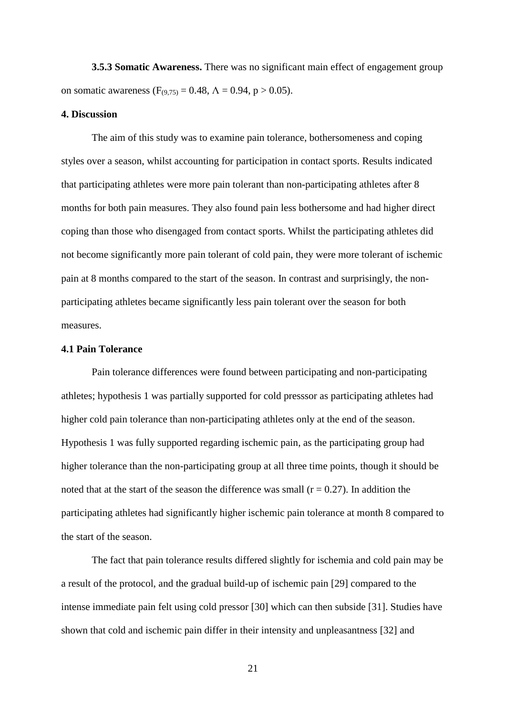**3.5.3 Somatic Awareness.** There was no significant main effect of engagement group on somatic awareness ( $F_{(9,75)} = 0.48$ ,  $\Lambda = 0.94$ ,  $p > 0.05$ ).

#### **4. Discussion**

The aim of this study was to examine pain tolerance, bothersomeness and coping styles over a season, whilst accounting for participation in contact sports. Results indicated that participating athletes were more pain tolerant than non-participating athletes after 8 months for both pain measures. They also found pain less bothersome and had higher direct coping than those who disengaged from contact sports. Whilst the participating athletes did not become significantly more pain tolerant of cold pain, they were more tolerant of ischemic pain at 8 months compared to the start of the season. In contrast and surprisingly, the nonparticipating athletes became significantly less pain tolerant over the season for both measures.

## **4.1 Pain Tolerance**

Pain tolerance differences were found between participating and non-participating athletes; hypothesis 1 was partially supported for cold presssor as participating athletes had higher cold pain tolerance than non-participating athletes only at the end of the season. Hypothesis 1 was fully supported regarding ischemic pain, as the participating group had higher tolerance than the non-participating group at all three time points, though it should be noted that at the start of the season the difference was small  $(r = 0.27)$ . In addition the participating athletes had significantly higher ischemic pain tolerance at month 8 compared to the start of the season.

The fact that pain tolerance results differed slightly for ischemia and cold pain may be a result of the protocol, and the gradual build-up of ischemic pain [29] compared to the intense immediate pain felt using cold pressor [30] which can then subside [31]. Studies have shown that cold and ischemic pain differ in their intensity and unpleasantness [32] and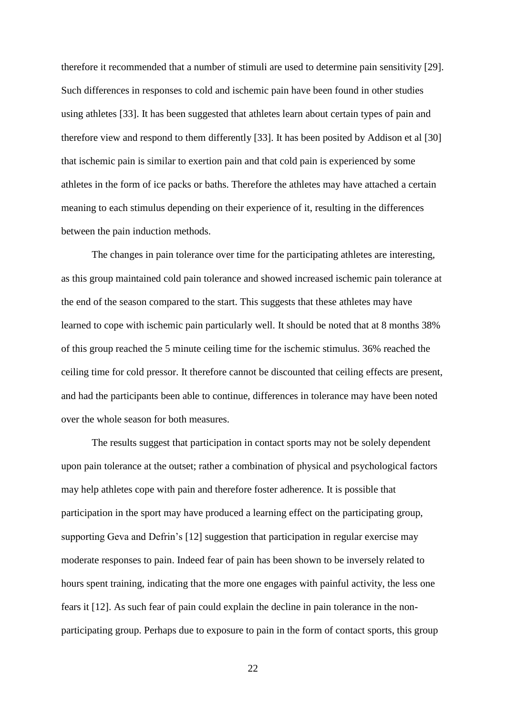therefore it recommended that a number of stimuli are used to determine pain sensitivity [29]. Such differences in responses to cold and ischemic pain have been found in other studies using athletes [33]. It has been suggested that athletes learn about certain types of pain and therefore view and respond to them differently [33]. It has been posited by Addison et al [30] that ischemic pain is similar to exertion pain and that cold pain is experienced by some athletes in the form of ice packs or baths. Therefore the athletes may have attached a certain meaning to each stimulus depending on their experience of it, resulting in the differences between the pain induction methods.

The changes in pain tolerance over time for the participating athletes are interesting, as this group maintained cold pain tolerance and showed increased ischemic pain tolerance at the end of the season compared to the start. This suggests that these athletes may have learned to cope with ischemic pain particularly well. It should be noted that at 8 months 38% of this group reached the 5 minute ceiling time for the ischemic stimulus. 36% reached the ceiling time for cold pressor. It therefore cannot be discounted that ceiling effects are present, and had the participants been able to continue, differences in tolerance may have been noted over the whole season for both measures.

The results suggest that participation in contact sports may not be solely dependent upon pain tolerance at the outset; rather a combination of physical and psychological factors may help athletes cope with pain and therefore foster adherence. It is possible that participation in the sport may have produced a learning effect on the participating group, supporting Geva and Defrin's [12] suggestion that participation in regular exercise may moderate responses to pain. Indeed fear of pain has been shown to be inversely related to hours spent training, indicating that the more one engages with painful activity, the less one fears it [12]. As such fear of pain could explain the decline in pain tolerance in the nonparticipating group. Perhaps due to exposure to pain in the form of contact sports, this group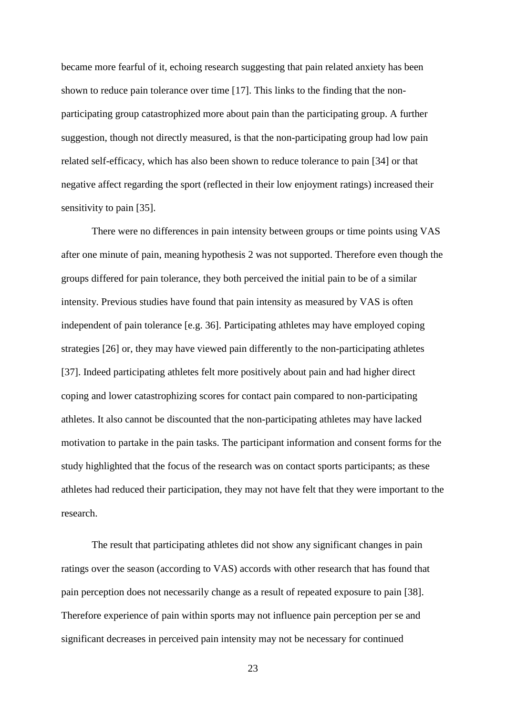became more fearful of it, echoing research suggesting that pain related anxiety has been shown to reduce pain tolerance over time [17]. This links to the finding that the nonparticipating group catastrophized more about pain than the participating group. A further suggestion, though not directly measured, is that the non-participating group had low pain related self-efficacy, which has also been shown to reduce tolerance to pain [34] or that negative affect regarding the sport (reflected in their low enjoyment ratings) increased their sensitivity to pain [35].

There were no differences in pain intensity between groups or time points using VAS after one minute of pain, meaning hypothesis 2 was not supported. Therefore even though the groups differed for pain tolerance, they both perceived the initial pain to be of a similar intensity. Previous studies have found that pain intensity as measured by VAS is often independent of pain tolerance [e.g. 36]. Participating athletes may have employed coping strategies [26] or, they may have viewed pain differently to the non-participating athletes [37]. Indeed participating athletes felt more positively about pain and had higher direct coping and lower catastrophizing scores for contact pain compared to non-participating athletes. It also cannot be discounted that the non-participating athletes may have lacked motivation to partake in the pain tasks. The participant information and consent forms for the study highlighted that the focus of the research was on contact sports participants; as these athletes had reduced their participation, they may not have felt that they were important to the research.

The result that participating athletes did not show any significant changes in pain ratings over the season (according to VAS) accords with other research that has found that pain perception does not necessarily change as a result of repeated exposure to pain [38]. Therefore experience of pain within sports may not influence pain perception per se and significant decreases in perceived pain intensity may not be necessary for continued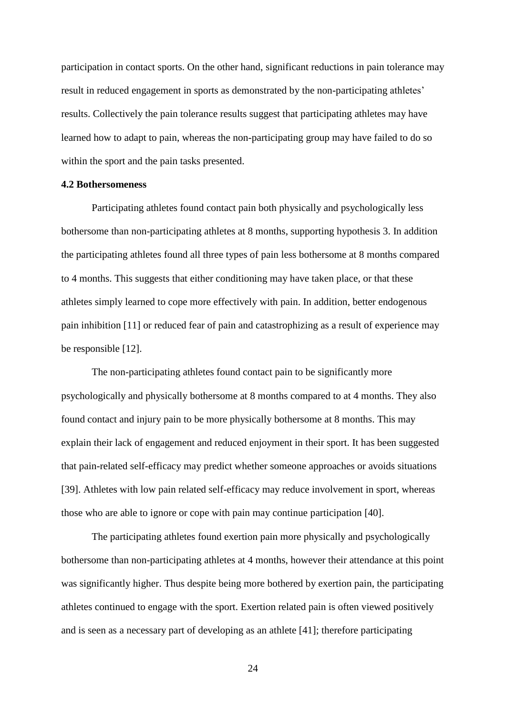participation in contact sports. On the other hand, significant reductions in pain tolerance may result in reduced engagement in sports as demonstrated by the non-participating athletes' results. Collectively the pain tolerance results suggest that participating athletes may have learned how to adapt to pain, whereas the non-participating group may have failed to do so within the sport and the pain tasks presented.

## **4.2 Bothersomeness**

Participating athletes found contact pain both physically and psychologically less bothersome than non-participating athletes at 8 months, supporting hypothesis 3. In addition the participating athletes found all three types of pain less bothersome at 8 months compared to 4 months. This suggests that either conditioning may have taken place, or that these athletes simply learned to cope more effectively with pain. In addition, better endogenous pain inhibition [11] or reduced fear of pain and catastrophizing as a result of experience may be responsible [12].

The non-participating athletes found contact pain to be significantly more psychologically and physically bothersome at 8 months compared to at 4 months. They also found contact and injury pain to be more physically bothersome at 8 months. This may explain their lack of engagement and reduced enjoyment in their sport. It has been suggested that pain-related self-efficacy may predict whether someone approaches or avoids situations [39]. Athletes with low pain related self-efficacy may reduce involvement in sport, whereas those who are able to ignore or cope with pain may continue participation [40].

The participating athletes found exertion pain more physically and psychologically bothersome than non-participating athletes at 4 months, however their attendance at this point was significantly higher. Thus despite being more bothered by exertion pain, the participating athletes continued to engage with the sport. Exertion related pain is often viewed positively and is seen as a necessary part of developing as an athlete [41]; therefore participating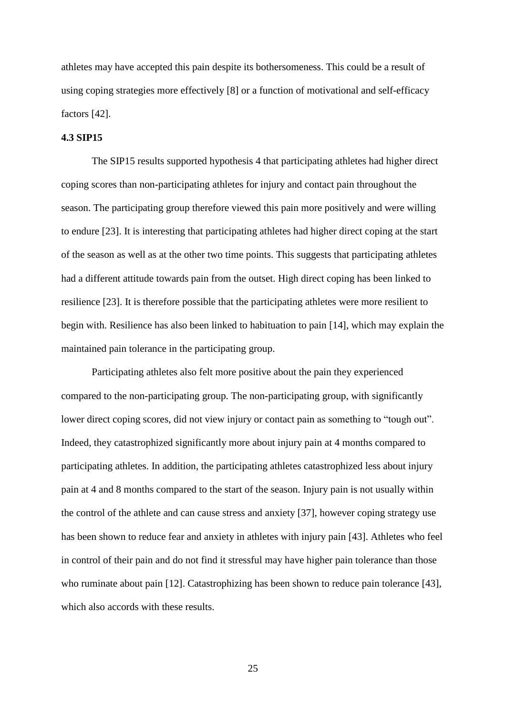athletes may have accepted this pain despite its bothersomeness. This could be a result of using coping strategies more effectively [8] or a function of motivational and self-efficacy factors [42].

## **4.3 SIP15**

The SIP15 results supported hypothesis 4 that participating athletes had higher direct coping scores than non-participating athletes for injury and contact pain throughout the season. The participating group therefore viewed this pain more positively and were willing to endure [23]. It is interesting that participating athletes had higher direct coping at the start of the season as well as at the other two time points. This suggests that participating athletes had a different attitude towards pain from the outset. High direct coping has been linked to resilience [23]. It is therefore possible that the participating athletes were more resilient to begin with. Resilience has also been linked to habituation to pain [14], which may explain the maintained pain tolerance in the participating group.

Participating athletes also felt more positive about the pain they experienced compared to the non-participating group. The non-participating group, with significantly lower direct coping scores, did not view injury or contact pain as something to "tough out". Indeed, they catastrophized significantly more about injury pain at 4 months compared to participating athletes. In addition, the participating athletes catastrophized less about injury pain at 4 and 8 months compared to the start of the season. Injury pain is not usually within the control of the athlete and can cause stress and anxiety [37], however coping strategy use has been shown to reduce fear and anxiety in athletes with injury pain [43]. Athletes who feel in control of their pain and do not find it stressful may have higher pain tolerance than those who ruminate about pain [12]. Catastrophizing has been shown to reduce pain tolerance [43], which also accords with these results.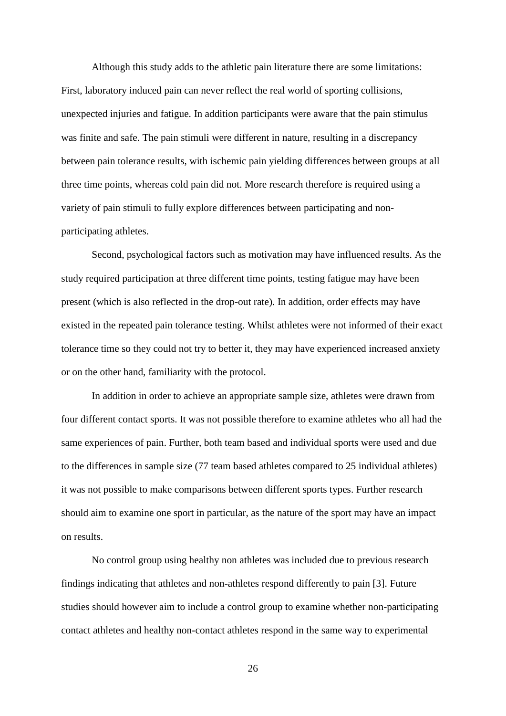Although this study adds to the athletic pain literature there are some limitations: First, laboratory induced pain can never reflect the real world of sporting collisions, unexpected injuries and fatigue. In addition participants were aware that the pain stimulus was finite and safe. The pain stimuli were different in nature, resulting in a discrepancy between pain tolerance results, with ischemic pain yielding differences between groups at all three time points, whereas cold pain did not. More research therefore is required using a variety of pain stimuli to fully explore differences between participating and nonparticipating athletes.

Second, psychological factors such as motivation may have influenced results. As the study required participation at three different time points, testing fatigue may have been present (which is also reflected in the drop-out rate). In addition, order effects may have existed in the repeated pain tolerance testing. Whilst athletes were not informed of their exact tolerance time so they could not try to better it, they may have experienced increased anxiety or on the other hand, familiarity with the protocol.

In addition in order to achieve an appropriate sample size, athletes were drawn from four different contact sports. It was not possible therefore to examine athletes who all had the same experiences of pain. Further, both team based and individual sports were used and due to the differences in sample size (77 team based athletes compared to 25 individual athletes) it was not possible to make comparisons between different sports types. Further research should aim to examine one sport in particular, as the nature of the sport may have an impact on results.

No control group using healthy non athletes was included due to previous research findings indicating that athletes and non-athletes respond differently to pain [3]. Future studies should however aim to include a control group to examine whether non-participating contact athletes and healthy non-contact athletes respond in the same way to experimental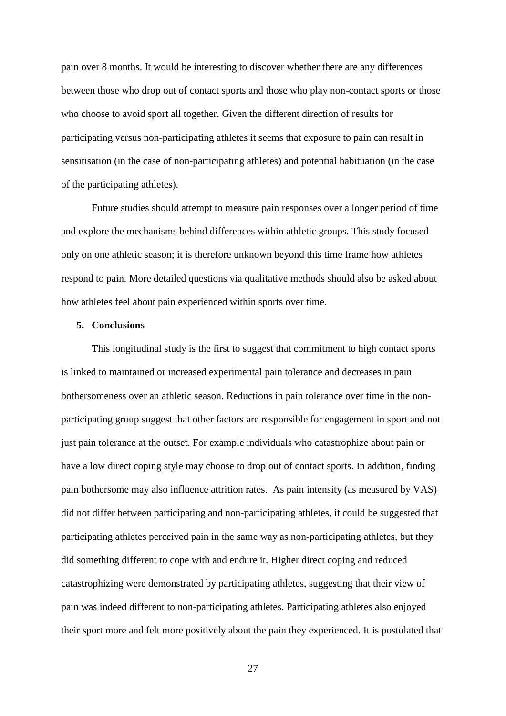pain over 8 months. It would be interesting to discover whether there are any differences between those who drop out of contact sports and those who play non-contact sports or those who choose to avoid sport all together. Given the different direction of results for participating versus non-participating athletes it seems that exposure to pain can result in sensitisation (in the case of non-participating athletes) and potential habituation (in the case of the participating athletes).

Future studies should attempt to measure pain responses over a longer period of time and explore the mechanisms behind differences within athletic groups. This study focused only on one athletic season; it is therefore unknown beyond this time frame how athletes respond to pain. More detailed questions via qualitative methods should also be asked about how athletes feel about pain experienced within sports over time.

#### **5. Conclusions**

This longitudinal study is the first to suggest that commitment to high contact sports is linked to maintained or increased experimental pain tolerance and decreases in pain bothersomeness over an athletic season. Reductions in pain tolerance over time in the nonparticipating group suggest that other factors are responsible for engagement in sport and not just pain tolerance at the outset. For example individuals who catastrophize about pain or have a low direct coping style may choose to drop out of contact sports. In addition, finding pain bothersome may also influence attrition rates. As pain intensity (as measured by VAS) did not differ between participating and non-participating athletes, it could be suggested that participating athletes perceived pain in the same way as non-participating athletes, but they did something different to cope with and endure it. Higher direct coping and reduced catastrophizing were demonstrated by participating athletes, suggesting that their view of pain was indeed different to non-participating athletes. Participating athletes also enjoyed their sport more and felt more positively about the pain they experienced. It is postulated that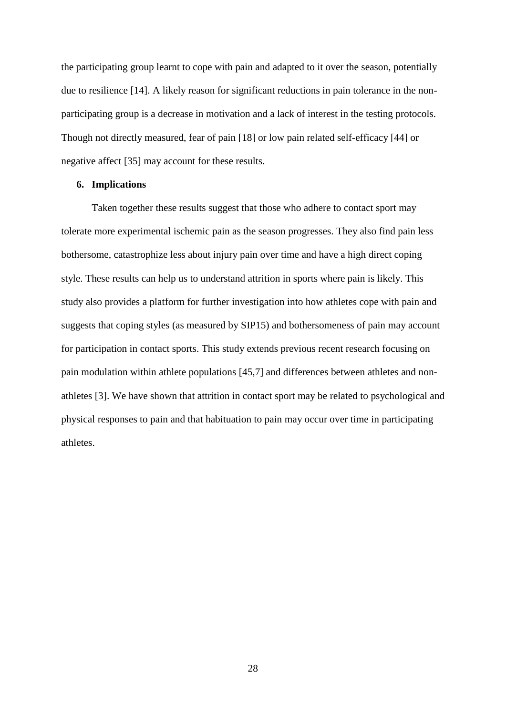the participating group learnt to cope with pain and adapted to it over the season, potentially due to resilience [14]. A likely reason for significant reductions in pain tolerance in the nonparticipating group is a decrease in motivation and a lack of interest in the testing protocols. Though not directly measured, fear of pain [18] or low pain related self-efficacy [44] or negative affect [35] may account for these results.

## **6. Implications**

Taken together these results suggest that those who adhere to contact sport may tolerate more experimental ischemic pain as the season progresses. They also find pain less bothersome, catastrophize less about injury pain over time and have a high direct coping style. These results can help us to understand attrition in sports where pain is likely. This study also provides a platform for further investigation into how athletes cope with pain and suggests that coping styles (as measured by SIP15) and bothersomeness of pain may account for participation in contact sports. This study extends previous recent research focusing on pain modulation within athlete populations [45,7] and differences between athletes and nonathletes [3]. We have shown that attrition in contact sport may be related to psychological and physical responses to pain and that habituation to pain may occur over time in participating athletes.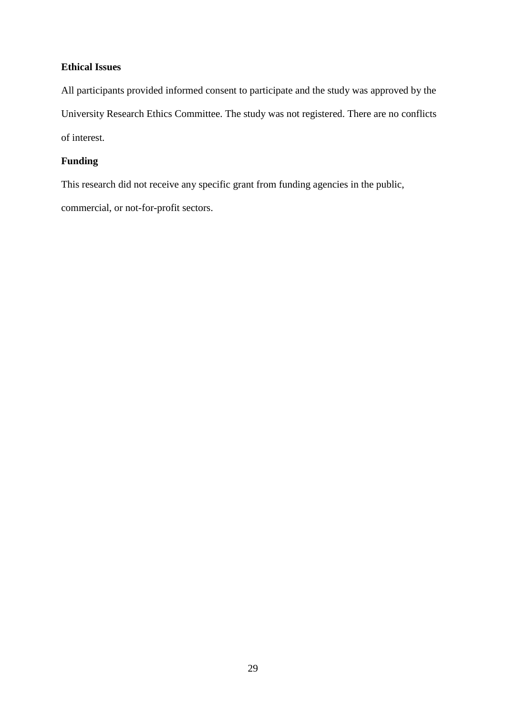## **Ethical Issues**

All participants provided informed consent to participate and the study was approved by the University Research Ethics Committee. The study was not registered. There are no conflicts of interest.

# **Funding**

This research did not receive any specific grant from funding agencies in the public, commercial, or not-for-profit sectors.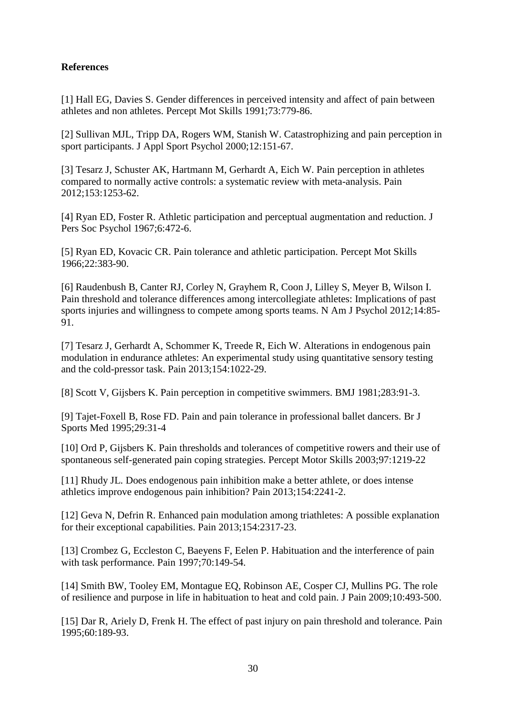# **References**

[1] Hall EG, Davies S. Gender differences in perceived intensity and affect of pain between athletes and non athletes. Percept Mot Skills 1991;73:779-86.

[2] Sullivan MJL, Tripp DA, Rogers WM, Stanish W. Catastrophizing and pain perception in sport participants. J Appl Sport Psychol 2000;12:151-67.

[3] Tesarz J, Schuster AK, Hartmann M, Gerhardt A, Eich W. Pain perception in athletes compared to normally active controls: a systematic review with meta-analysis. Pain 2012;153:1253-62.

[4] Ryan ED, Foster R. Athletic participation and perceptual augmentation and reduction. J Pers Soc Psychol 1967;6:472-6.

[5] Ryan ED, Kovacic CR. Pain tolerance and athletic participation. Percept Mot Skills 1966;22:383-90.

[6] Raudenbush B, Canter RJ, Corley N, Grayhem R, Coon J, Lilley S, Meyer B, Wilson I. Pain threshold and tolerance differences among intercollegiate athletes: Implications of past sports injuries and willingness to compete among sports teams. N Am J Psychol 2012;14:85- 91.

[7] Tesarz J, Gerhardt A, Schommer K, Treede R, Eich W. Alterations in endogenous pain modulation in endurance athletes: An experimental study using quantitative sensory testing and the cold-pressor task. Pain 2013;154:1022-29.

[8] Scott V, Gijsbers K. Pain perception in competitive swimmers. BMJ 1981;283:91-3.

[9] Tajet-Foxell B, Rose FD. Pain and pain tolerance in professional ballet dancers. Br J Sports Med 1995;29:31-4

[10] Ord P, Gijsbers K. Pain thresholds and tolerances of competitive rowers and their use of spontaneous self-generated pain coping strategies. Percept Motor Skills 2003;97:1219-22

[11] Rhudy JL. Does endogenous pain inhibition make a better athlete, or does intense athletics improve endogenous pain inhibition? Pain 2013;154:2241-2.

[12] Geva N, Defrin R. Enhanced pain modulation among triathletes: A possible explanation for their exceptional capabilities. Pain 2013;154:2317-23.

[13] Crombez G, Eccleston C, Baeyens F, Eelen P. Habituation and the interference of pain with task performance. Pain 1997;70:149-54.

[14] Smith BW, Tooley EM, Montague EQ, Robinson AE, Cosper CJ, Mullins PG. The role of resilience and purpose in life in habituation to heat and cold pain. J Pain 2009;10:493-500.

[15] Dar R, Ariely D, Frenk H. The effect of past injury on pain threshold and tolerance. Pain 1995;60:189-93.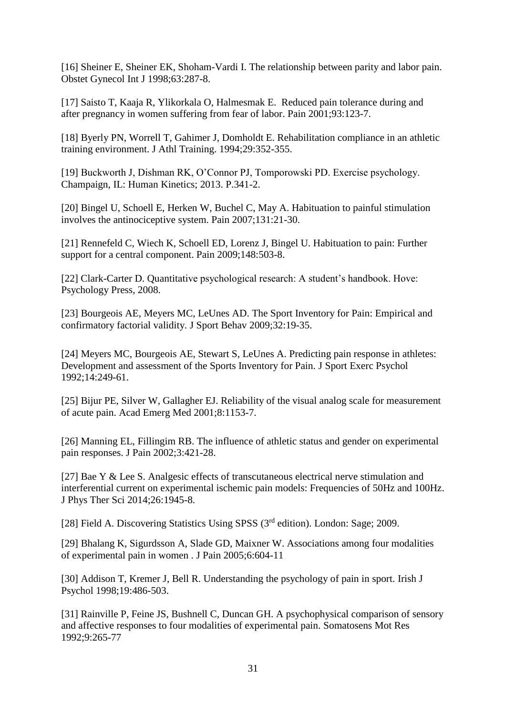[16] Sheiner E, Sheiner EK, Shoham-Vardi I. The relationship between parity and labor pain. Obstet Gynecol Int J 1998;63:287-8.

[17] Saisto T, Kaaja R, Ylikorkala O, Halmesmak E. Reduced pain tolerance during and after pregnancy in women suffering from fear of labor. Pain 2001;93:123-7.

[18] Byerly PN, Worrell T, Gahimer J, Domholdt E. Rehabilitation compliance in an athletic training environment. J Athl Training. 1994;29:352-355.

[19] Buckworth J, Dishman RK, O'Connor PJ, Tomporowski PD. Exercise psychology. Champaign, IL: Human Kinetics; 2013. P.341-2.

[20] Bingel U, Schoell E, Herken W, Buchel C, May A. Habituation to painful stimulation involves the antinociceptive system. Pain 2007;131:21-30.

[21] Rennefeld C, Wiech K, Schoell ED, Lorenz J, Bingel U. Habituation to pain: Further support for a central component. Pain 2009;148:503-8.

[22] Clark-Carter D. Quantitative psychological research: A student's handbook. Hove: Psychology Press, 2008.

[23] Bourgeois AE, Meyers MC, LeUnes AD. The Sport Inventory for Pain: Empirical and confirmatory factorial validity. J Sport Behav 2009;32:19-35.

[24] Meyers MC, Bourgeois AE, Stewart S, LeUnes A. Predicting pain response in athletes: Development and assessment of the Sports Inventory for Pain. J Sport Exerc Psychol 1992;14:249-61.

[25] Bijur PE, Silver W, Gallagher EJ. Reliability of the visual analog scale for measurement of acute pain. Acad Emerg Med 2001;8:1153-7.

[26] Manning EL, Fillingim RB. The influence of athletic status and gender on experimental pain responses. J Pain 2002;3:421-28.

[27] Bae Y & Lee S. Analgesic effects of transcutaneous electrical nerve stimulation and interferential current on experimental ischemic pain models: Frequencies of 50Hz and 100Hz. J Phys Ther Sci 2014;26:1945-8.

[28] Field A. Discovering Statistics Using SPSS (3<sup>rd</sup> edition). London: Sage; 2009.

[29] Bhalang K, Sigurdsson A, Slade GD, Maixner W. Associations among four modalities of experimental pain in women . J Pain 2005;6:604-11

[30] Addison T, Kremer J, Bell R. Understanding the psychology of pain in sport. Irish J Psychol 1998;19:486-503.

[31] Rainville P, Feine JS, Bushnell C, Duncan GH. A psychophysical comparison of sensory and affective responses to four modalities of experimental pain. Somatosens Mot Res 1992;9:265-77